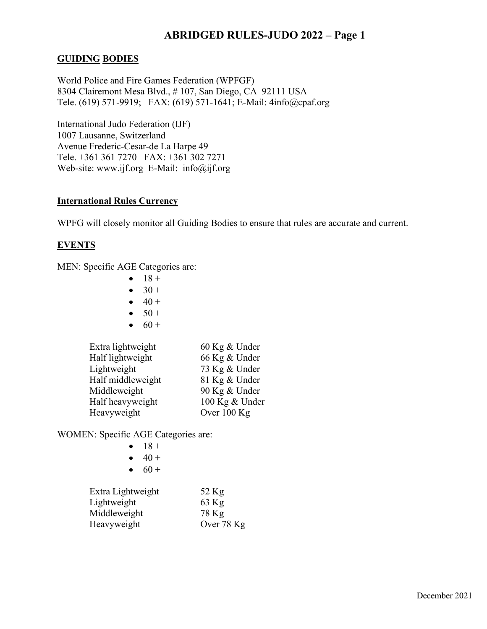## **GUIDING BODIES**

World Police and Fire Games Federation (WPFGF) 8304 Clairemont Mesa Blvd., # 107, San Diego, CA 92111 USA Tele. (619) 571-9919; FAX: (619) 571-1641; E-Mail: 4info@cpaf.org

International Judo Federation (IJF) 1007 Lausanne, Switzerland Avenue Frederic-Cesar-de La Harpe 49 Tele. +361 361 7270 FAX: +361 302 7271 Web-site: [www.ijf.org](http://www.ijf.org/) E-Mail: info@ijf.org

### **International Rules Currency**

WPFG will closely monitor all Guiding Bodies to ensure that rules are accurate and current.

## **EVENTS**

MEN: Specific AGE Categories are:

- $18 +$
- $30 +$
- $40 +$
- $50 +$
- $60 +$

| Extra lightweight | 60 Kg & Under  |
|-------------------|----------------|
| Half lightweight  | 66 Kg & Under  |
| Lightweight       | 73 Kg & Under  |
| Half middleweight | 81 Kg & Under  |
| Middleweight      | 90 Kg & Under  |
| Half heavyweight  | 100 Kg & Under |
| Heavyweight       | Over 100 Kg    |
|                   |                |

WOMEN: Specific AGE Categories are:

- $40 +$
- $60 +$

| Extra Lightweight | $52$ Kg    |
|-------------------|------------|
| Lightweight       | $63$ Kg    |
| Middleweight      | 78 Kg      |
| Heavyweight       | Over 78 Kg |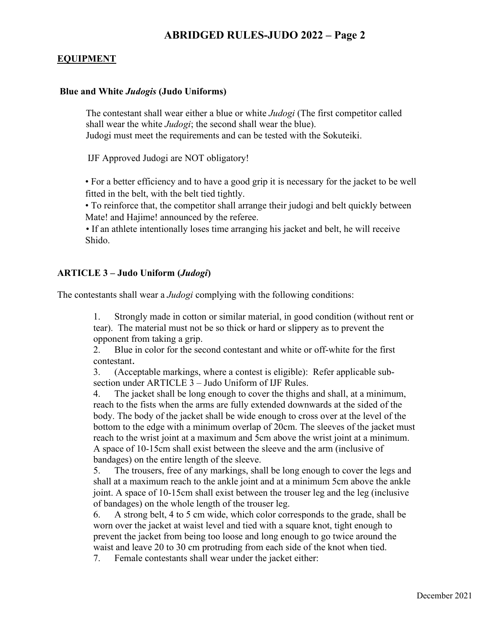### **EQUIPMENT**

#### **Blue and White** *Judogis* **(Judo Uniforms)**

The contestant shall wear either a blue or white *Judogi* (The first competitor called shall wear the white *Judogi*; the second shall wear the blue). Judogi must meet the requirements and can be tested with the Sokuteiki.

IJF Approved Judogi are NOT obligatory!

• For a better efficiency and to have a good grip it is necessary for the jacket to be well fitted in the belt, with the belt tied tightly.

• To reinforce that, the competitor shall arrange their judogi and belt quickly between Mate! and Hajime! announced by the referee.

• If an athlete intentionally loses time arranging his jacket and belt, he will receive Shido.

### **ARTICLE 3 – Judo Uniform (***Judogi***)**

The contestants shall wear a *Judogi* complying with the following conditions:

1. Strongly made in cotton or similar material, in good condition (without rent or tear). The material must not be so thick or hard or slippery as to prevent the opponent from taking a grip.

2. Blue in color for the second contestant and white or off-white for the first contestant.

3. (Acceptable markings, where a contest is eligible): Refer applicable subsection under ARTICLE 3 – Judo Uniform of IJF Rules.

4. The jacket shall be long enough to cover the thighs and shall, at a minimum, reach to the fists when the arms are fully extended downwards at the sided of the body. The body of the jacket shall be wide enough to cross over at the level of the bottom to the edge with a minimum overlap of 20cm. The sleeves of the jacket must reach to the wrist joint at a maximum and 5cm above the wrist joint at a minimum. A space of 10-15cm shall exist between the sleeve and the arm (inclusive of bandages) on the entire length of the sleeve.

5. The trousers, free of any markings, shall be long enough to cover the legs and shall at a maximum reach to the ankle joint and at a minimum 5cm above the ankle joint. A space of 10-15cm shall exist between the trouser leg and the leg (inclusive of bandages) on the whole length of the trouser leg.

6. A strong belt, 4 to 5 cm wide, which color corresponds to the grade, shall be worn over the jacket at waist level and tied with a square knot, tight enough to prevent the jacket from being too loose and long enough to go twice around the waist and leave 20 to 30 cm protruding from each side of the knot when tied.

7. Female contestants shall wear under the jacket either: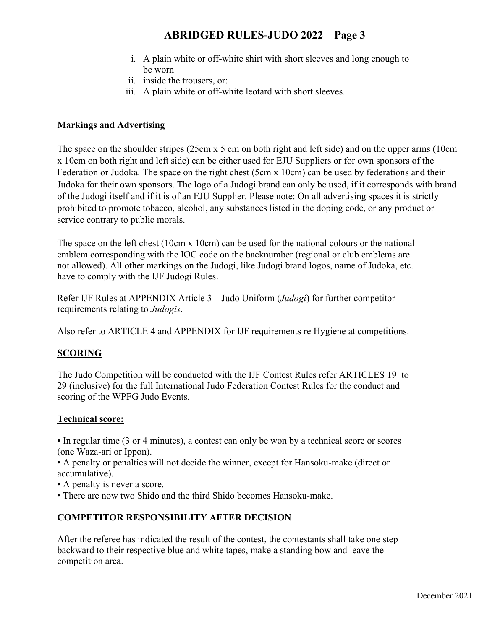- i. A plain white or off-white shirt with short sleeves and long enough to be worn
- ii. inside the trousers, or:
- iii. A plain white or off-white leotard with short sleeves.

### **Markings and Advertising**

The space on the shoulder stripes (25cm x 5 cm on both right and left side) and on the upper arms (10cm x 10cm on both right and left side) can be either used for EJU Suppliers or for own sponsors of the Federation or Judoka. The space on the right chest (5cm x 10cm) can be used by federations and their Judoka for their own sponsors. The logo of a Judogi brand can only be used, if it corresponds with brand of the Judogi itself and if it is of an EJU Supplier. Please note: On all advertising spaces it is strictly prohibited to promote tobacco, alcohol, any substances listed in the doping code, or any product or service contrary to public morals.

The space on the left chest (10cm x 10cm) can be used for the national colours or the national emblem corresponding with the IOC code on the backnumber (regional or club emblems are not allowed). All other markings on the Judogi, like Judogi brand logos, name of Judoka, etc. have to comply with the IJF Judogi Rules.

Refer IJF Rules at APPENDIX Article 3 – Judo Uniform (*Judogi*) for further competitor requirements relating to *Judogis*.

Also refer to ARTICLE 4 and APPENDIX for IJF requirements re Hygiene at competitions.

## **SCORING**

The Judo Competition will be conducted with the IJF Contest Rules refer ARTICLES 19 to 29 (inclusive) for the full International Judo Federation Contest Rules for the conduct and scoring of the WPFG Judo Events.

### **Technical score:**

• In regular time (3 or 4 minutes), a contest can only be won by a technical score or scores (one Waza-ari or Ippon).

• A penalty or penalties will not decide the winner, except for Hansoku-make (direct or accumulative).

- A penalty is never a score.
- There are now two Shido and the third Shido becomes Hansoku-make.

## **COMPETITOR RESPONSIBILITY AFTER DECISION**

After the referee has indicated the result of the contest, the contestants shall take one step backward to their respective blue and white tapes, make a standing bow and leave the competition area.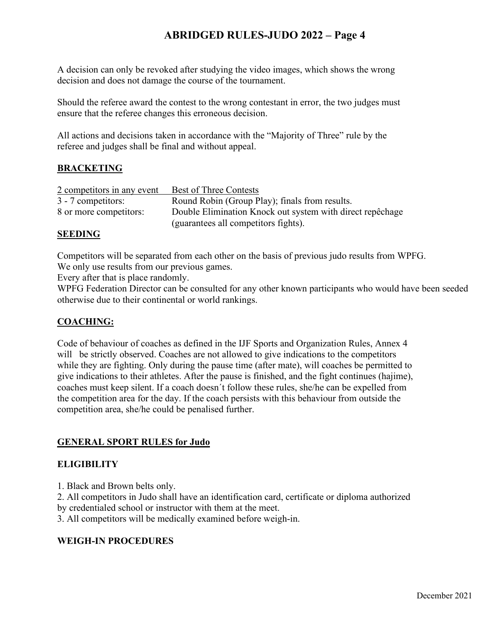A decision can only be revoked after studying the video images, which shows the wrong decision and does not damage the course of the tournament.

Should the referee award the contest to the wrong contestant in error, the two judges must ensure that the referee changes this erroneous decision.

All actions and decisions taken in accordance with the "Majority of Three" rule by the referee and judges shall be final and without appeal.

## **BRACKETING**

| 2 competitors in any event | <b>Best of Three Contests</b>                             |
|----------------------------|-----------------------------------------------------------|
| 3 - 7 competitors:         | Round Robin (Group Play); finals from results.            |
| 8 or more competitors:     | Double Elimination Knock out system with direct repêchage |
|                            | (guarantees all competitors fights).                      |

### **SEEDING**

Competitors will be separated from each other on the basis of previous judo results from WPFG. We only use results from our previous games.

Every after that is place randomly.

WPFG Federation Director can be consulted for any other known participants who would have been seeded otherwise due to their continental or world rankings.

## **COACHING:**

Code of behaviour of coaches as defined in the IJF Sports and Organization Rules, Annex 4 will be strictly observed. Coaches are not allowed to give indications to the competitors while they are fighting. Only during the pause time (after mate), will coaches be permitted to give indications to their athletes. After the pause is finished, and the fight continues (hajime), coaches must keep silent. If a coach doesn´t follow these rules, she/he can be expelled from the competition area for the day. If the coach persists with this behaviour from outside the competition area, she/he could be penalised further.

## **GENERAL SPORT RULES for Judo**

### **ELIGIBILITY**

1. Black and Brown belts only.

2. All competitors in Judo shall have an identification card, certificate or diploma authorized by credentialed school or instructor with them at the meet.

3. All competitors will be medically examined before weigh-in.

## **WEIGH-IN PROCEDURES**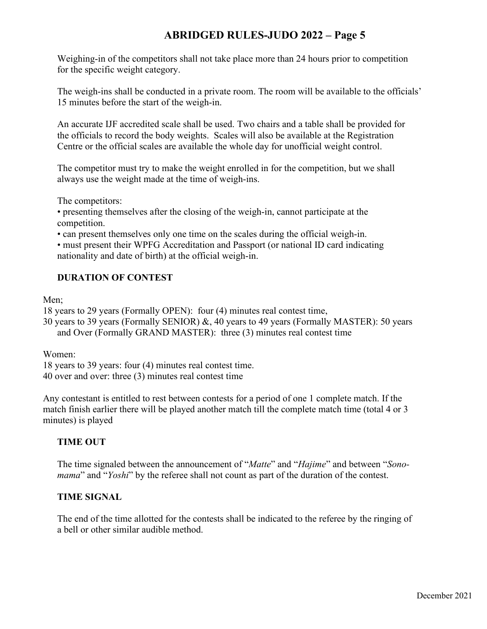Weighing-in of the competitors shall not take place more than 24 hours prior to competition for the specific weight category.

The weigh-ins shall be conducted in a private room. The room will be available to the officials' 15 minutes before the start of the weigh-in.

An accurate IJF accredited scale shall be used. Two chairs and a table shall be provided for the officials to record the body weights. Scales will also be available at the Registration Centre or the official scales are available the whole day for unofficial weight control.

The competitor must try to make the weight enrolled in for the competition, but we shall always use the weight made at the time of weigh-ins.

The competitors:

• presenting themselves after the closing of the weigh-in, cannot participate at the competition.

• can present themselves only one time on the scales during the official weigh-in.

• must present their WPFG Accreditation and Passport (or national ID card indicating nationality and date of birth) at the official weigh-in.

## **DURATION OF CONTEST**

Men:

18 years to 29 years (Formally OPEN): four (4) minutes real contest time,

30 years to 39 years (Formally SENIOR) &, 40 years to 49 years (Formally MASTER): 50 years and Over (Formally GRAND MASTER): three (3) minutes real contest time

Women:

18 years to 39 years: four (4) minutes real contest time. 40 over and over: three (3) minutes real contest time

Any contestant is entitled to rest between contests for a period of one 1 complete match. If the match finish earlier there will be played another match till the complete match time (total 4 or 3 minutes) is played

## **TIME OUT**

The time signaled between the announcement of "*Matte*" and "*Hajime*" and between "*Sonomama*" and "*Yoshi*" by the referee shall not count as part of the duration of the contest.

## **TIME SIGNAL**

The end of the time allotted for the contests shall be indicated to the referee by the ringing of a bell or other similar audible method.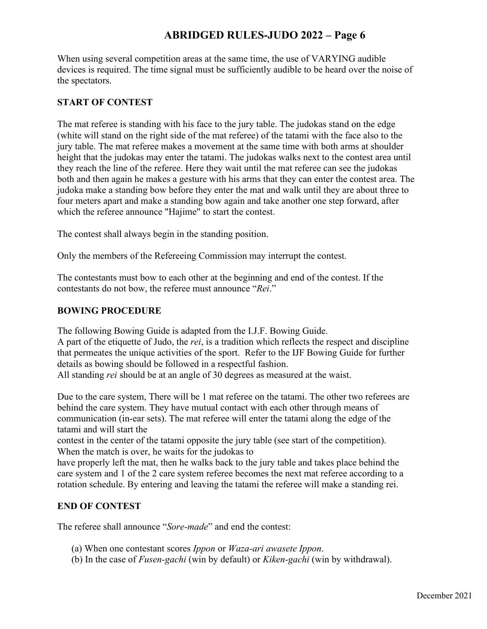When using several competition areas at the same time, the use of VARYING audible devices is required. The time signal must be sufficiently audible to be heard over the noise of the spectators.

## **START OF CONTEST**

The mat referee is standing with his face to the jury table. The judokas stand on the edge (white will stand on the right side of the mat referee) of the tatami with the face also to the jury table. The mat referee makes a movement at the same time with both arms at shoulder height that the judokas may enter the tatami. The judokas walks next to the contest area until they reach the line of the referee. Here they wait until the mat referee can see the judokas both and then again he makes a gesture with his arms that they can enter the contest area. The judoka make a standing bow before they enter the mat and walk until they are about three to four meters apart and make a standing bow again and take another one step forward, after which the referee announce "Hajime" to start the contest.

The contest shall always begin in the standing position.

Only the members of the Refereeing Commission may interrupt the contest.

The contestants must bow to each other at the beginning and end of the contest. If the contestants do not bow, the referee must announce "*Rei*."

### **BOWING PROCEDURE**

The following Bowing Guide is adapted from the I.J.F. Bowing Guide.

A part of the etiquette of Judo, the *rei*, is a tradition which reflects the respect and discipline that permeates the unique activities of the sport. Refer to the IJF Bowing Guide for further details as bowing should be followed in a respectful fashion.

All standing *rei* should be at an angle of 30 degrees as measured at the waist.

Due to the care system, There will be 1 mat referee on the tatami. The other two referees are behind the care system. They have mutual contact with each other through means of communication (in-ear sets). The mat referee will enter the tatami along the edge of the tatami and will start the

contest in the center of the tatami opposite the jury table (see start of the competition). When the match is over, he waits for the judokas to

have properly left the mat, then he walks back to the jury table and takes place behind the care system and 1 of the 2 care system referee becomes the next mat referee according to a rotation schedule. By entering and leaving the tatami the referee will make a standing rei.

## **END OF CONTEST**

The referee shall announce "*Sore-made*" and end the contest:

- (a) When one contestant scores *Ippon* or *Waza-ari awasete Ippon*.
- (b) In the case of *Fusen-gachi* (win by default) or *Kiken-gachi* (win by withdrawal).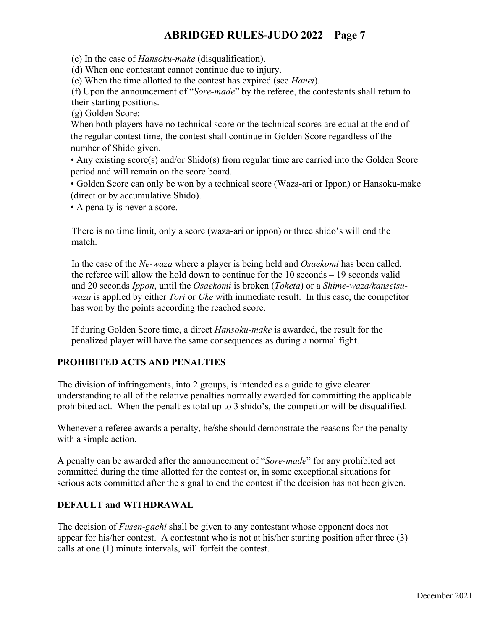(c) In the case of *Hansoku-make* (disqualification).

(d) When one contestant cannot continue due to injury.

(e) When the time allotted to the contest has expired (see *Hanei*).

(f) Upon the announcement of "*Sore-made*" by the referee, the contestants shall return to their starting positions.

(g) Golden Score:

When both players have no technical score or the technical scores are equal at the end of the regular contest time, the contest shall continue in Golden Score regardless of the number of Shido given.

• Any existing score(s) and/or Shido(s) from regular time are carried into the Golden Score period and will remain on the score board.

• Golden Score can only be won by a technical score (Waza-ari or Ippon) or Hansoku-make (direct or by accumulative Shido).

• A penalty is never a score.

There is no time limit, only a score (waza-ari or ippon) or three shido's will end the match.

In the case of the *Ne-waza* where a player is being held and *Osaekomi* has been called, the referee will allow the hold down to continue for the 10 seconds – 19 seconds valid and 20 seconds *Ippon*, until the *Osaekomi* is broken (*Toketa*) or a *Shime-waza/kansetsuwaza* is applied by either *Tori* or *Uke* with immediate result. In this case, the competitor has won by the points according the reached score.

If during Golden Score time, a direct *Hansoku-make* is awarded, the result for the penalized player will have the same consequences as during a normal fight.

## **PROHIBITED ACTS AND PENALTIES**

The division of infringements, into 2 groups, is intended as a guide to give clearer understanding to all of the relative penalties normally awarded for committing the applicable prohibited act. When the penalties total up to 3 shido's, the competitor will be disqualified.

Whenever a referee awards a penalty, he/she should demonstrate the reasons for the penalty with a simple action.

A penalty can be awarded after the announcement of "*Sore-made*" for any prohibited act committed during the time allotted for the contest or, in some exceptional situations for serious acts committed after the signal to end the contest if the decision has not been given.

## **DEFAULT and WITHDRAWAL**

The decision of *Fusen-gachi* shall be given to any contestant whose opponent does not appear for his/her contest. A contestant who is not at his/her starting position after three (3) calls at one (1) minute intervals, will forfeit the contest.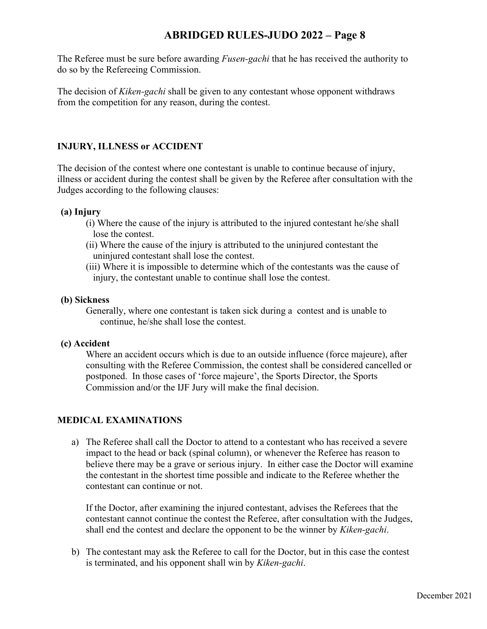The Referee must be sure before awarding *Fusen-gachi* that he has received the authority to do so by the Refereeing Commission.

The decision of *Kiken-gachi* shall be given to any contestant whose opponent withdraws from the competition for any reason, during the contest.

## **INJURY, ILLNESS or ACCIDENT**

The decision of the contest where one contestant is unable to continue because of injury, illness or accident during the contest shall be given by the Referee after consultation with the Judges according to the following clauses:

### **(a) Injury**

- (i) Where the cause of the injury is attributed to the injured contestant he/she shall lose the contest.
- (ii) Where the cause of the injury is attributed to the uninjured contestant the uninjured contestant shall lose the contest.
- (iii) Where it is impossible to determine which of the contestants was the cause of injury, the contestant unable to continue shall lose the contest.

### **(b) Sickness**

Generally, where one contestant is taken sick during a contest and is unable to continue, he/she shall lose the contest.

### **(c) Accident**

Where an accident occurs which is due to an outside influence (force majeure), after consulting with the Referee Commission, the contest shall be considered cancelled or postponed. In those cases of 'force majeure', the Sports Director, the Sports Commission and/or the IJF Jury will make the final decision.

## **MEDICAL EXAMINATIONS**

a) The Referee shall call the Doctor to attend to a contestant who has received a severe impact to the head or back (spinal column), or whenever the Referee has reason to believe there may be a grave or serious injury. In either case the Doctor will examine the contestant in the shortest time possible and indicate to the Referee whether the contestant can continue or not.

If the Doctor, after examining the injured contestant, advises the Referees that the contestant cannot continue the contest the Referee, after consultation with the Judges, shall end the contest and declare the opponent to be the winner by *Kiken-gachi*.

b) The contestant may ask the Referee to call for the Doctor, but in this case the contest is terminated, and his opponent shall win by *Kiken-gachi*.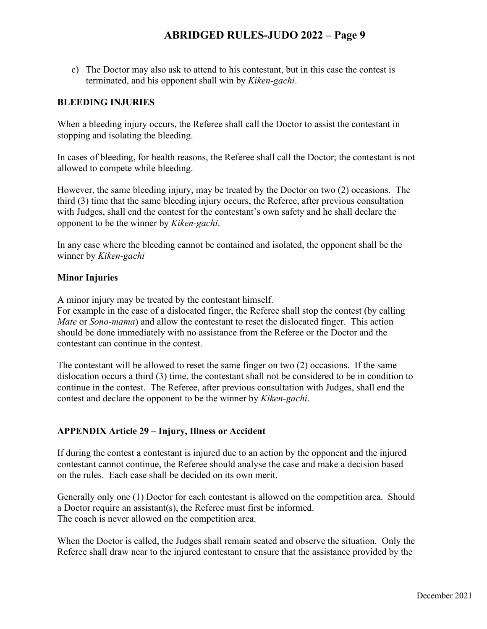c) The Doctor may also ask to attend to his contestant, but in this case the contest is terminated, and his opponent shall win by *Kiken-gachi*.

### **BLEEDING INJURIES**

When a bleeding injury occurs, the Referee shall call the Doctor to assist the contestant in stopping and isolating the bleeding.

In cases of bleeding, for health reasons, the Referee shall call the Doctor; the contestant is not allowed to compete while bleeding.

However, the same bleeding injury, may be treated by the Doctor on two (2) occasions. The third (3) time that the same bleeding injury occurs, the Referee, after previous consultation with Judges, shall end the contest for the contestant's own safety and he shall declare the opponent to be the winner by *Kiken-gachi*.

In any case where the bleeding cannot be contained and isolated, the opponent shall be the winner by *Kiken-gachi*

### **Minor Injuries**

A minor injury may be treated by the contestant himself.

For example in the case of a dislocated finger, the Referee shall stop the contest (by calling *Mate* or *Sono-mama*) and allow the contestant to reset the dislocated finger. This action should be done immediately with no assistance from the Referee or the Doctor and the contestant can continue in the contest.

The contestant will be allowed to reset the same finger on two (2) occasions. If the same dislocation occurs a third (3) time, the contestant shall not be considered to be in condition to continue in the contest. The Referee, after previous consultation with Judges, shall end the contest and declare the opponent to be the winner by *Kiken-gachi*.

### **APPENDIX Article 29 – Injury, Illness or Accident**

If during the contest a contestant is injured due to an action by the opponent and the injured contestant cannot continue, the Referee should analyse the case and make a decision based on the rules. Each case shall be decided on its own merit.

Generally only one (1) Doctor for each contestant is allowed on the competition area. Should a Doctor require an assistant(s), the Referee must first be informed. The coach is never allowed on the competition area.

When the Doctor is called, the Judges shall remain seated and observe the situation. Only the Referee shall draw near to the injured contestant to ensure that the assistance provided by the